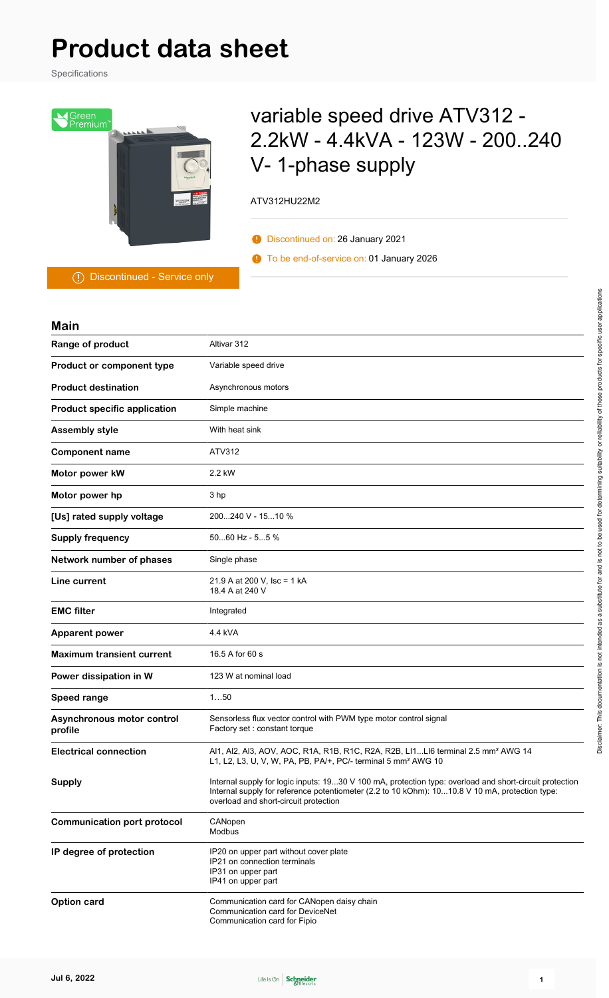# **Product data sheet**

Specifications



## variable speed drive ATV312 - 2.2kW - 4.4kVA - 123W - 200..240 V- 1-phase supply

ATV312HU22M2

Discontinued on: 26 January 2021

To be end-of-service on: 01 January 2026

Discontinued - Service only

| <b>Main</b>                           |                                                                                                                                                                                                                                                    |
|---------------------------------------|----------------------------------------------------------------------------------------------------------------------------------------------------------------------------------------------------------------------------------------------------|
| Range of product                      | Altivar 312                                                                                                                                                                                                                                        |
| Product or component type             | Variable speed drive                                                                                                                                                                                                                               |
| <b>Product destination</b>            | Asynchronous motors                                                                                                                                                                                                                                |
| <b>Product specific application</b>   | Simple machine                                                                                                                                                                                                                                     |
| <b>Assembly style</b>                 | With heat sink                                                                                                                                                                                                                                     |
| <b>Component name</b>                 | ATV312                                                                                                                                                                                                                                             |
| Motor power kW                        | 2.2 kW                                                                                                                                                                                                                                             |
| Motor power hp                        | 3 hp                                                                                                                                                                                                                                               |
| [Us] rated supply voltage             | 200240 V - 1510 %                                                                                                                                                                                                                                  |
| <b>Supply frequency</b>               | $5060$ Hz - $55$ %                                                                                                                                                                                                                                 |
| Network number of phases              | Single phase                                                                                                                                                                                                                                       |
| Line current                          | 21.9 A at 200 V, Isc = 1 kA<br>18.4 A at 240 V                                                                                                                                                                                                     |
| <b>EMC filter</b>                     | Integrated                                                                                                                                                                                                                                         |
| <b>Apparent power</b>                 | 4.4 kVA                                                                                                                                                                                                                                            |
| <b>Maximum transient current</b>      | 16.5 A for 60 s                                                                                                                                                                                                                                    |
| Power dissipation in W                | 123 W at nominal load                                                                                                                                                                                                                              |
| <b>Speed range</b>                    | 150                                                                                                                                                                                                                                                |
| Asynchronous motor control<br>profile | Sensorless flux vector control with PWM type motor control signal<br>Factory set : constant torque                                                                                                                                                 |
| <b>Electrical connection</b>          | Al1, Al2, Al3, AOV, AOC, R1A, R1B, R1C, R2A, R2B, Ll1Ll6 terminal 2.5 mm <sup>2</sup> AWG 14<br>L1, L2, L3, U, V, W, PA, PB, PA/+, PC/- terminal 5 mm <sup>2</sup> AWG 10                                                                          |
| <b>Supply</b>                         | Internal supply for logic inputs: 1930 V 100 mA, protection type: overload and short-circuit protection<br>Internal supply for reference potentiometer (2.2 to 10 kOhm): 1010.8 V 10 mA, protection type:<br>overload and short-circuit protection |
| <b>Communication port protocol</b>    | CANopen<br>Modbus                                                                                                                                                                                                                                  |
| IP degree of protection               | IP20 on upper part without cover plate<br>IP21 on connection terminals<br>IP31 on upper part<br>IP41 on upper part                                                                                                                                 |
| Option card                           | Communication card for CANopen daisy chain<br>Communication card for DeviceNet<br>Communication card for Fipio                                                                                                                                     |

Disclaimer. This documentation is not intended as a substitute for and is not to be used for determining suitability or reliability of these products for specific user applications Disclaimer: This documentation is not intended as a substitute for and is not to be used for determining suitability or reliability of these products for specific user applications

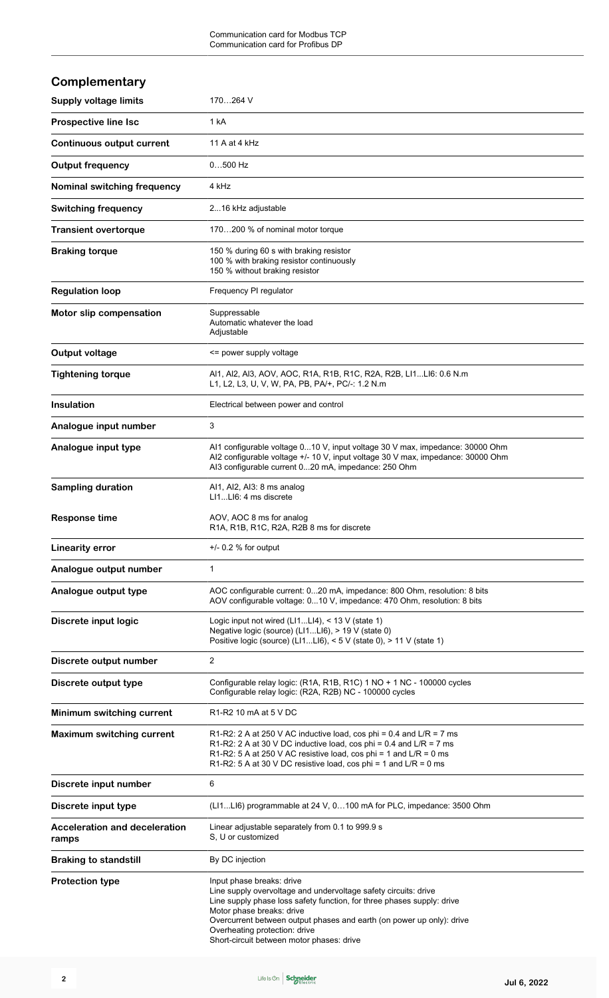| Complementary                                 |                                                                                                                                                                                                                                                                                                               |
|-----------------------------------------------|---------------------------------------------------------------------------------------------------------------------------------------------------------------------------------------------------------------------------------------------------------------------------------------------------------------|
| <b>Supply voltage limits</b>                  | 170264 V                                                                                                                                                                                                                                                                                                      |
| <b>Prospective line Isc</b>                   | 1 kA                                                                                                                                                                                                                                                                                                          |
| <b>Continuous output current</b>              | 11 A at 4 kHz                                                                                                                                                                                                                                                                                                 |
| <b>Output frequency</b>                       | $0500$ Hz                                                                                                                                                                                                                                                                                                     |
| Nominal switching frequency                   | 4 kHz                                                                                                                                                                                                                                                                                                         |
| <b>Switching frequency</b>                    | 216 kHz adjustable                                                                                                                                                                                                                                                                                            |
| <b>Transient overtorque</b>                   | 170200 % of nominal motor torque                                                                                                                                                                                                                                                                              |
| <b>Braking torque</b>                         | 150 % during 60 s with braking resistor<br>100 % with braking resistor continuously<br>150 % without braking resistor                                                                                                                                                                                         |
| <b>Regulation loop</b>                        | Frequency PI regulator                                                                                                                                                                                                                                                                                        |
| Motor slip compensation                       | Suppressable<br>Automatic whatever the load<br>Adjustable                                                                                                                                                                                                                                                     |
| <b>Output voltage</b>                         | <= power supply voltage                                                                                                                                                                                                                                                                                       |
| <b>Tightening torque</b>                      | Al1, Al2, Al3, AOV, AOC, R1A, R1B, R1C, R2A, R2B, Ll1Ll6: 0.6 N.m<br>L1, L2, L3, U, V, W, PA, PB, PA/+, PC/-: 1.2 N.m                                                                                                                                                                                         |
| <b>Insulation</b>                             | Electrical between power and control                                                                                                                                                                                                                                                                          |
| Analogue input number                         | 3                                                                                                                                                                                                                                                                                                             |
| Analogue input type                           | Al1 configurable voltage 010 V, input voltage 30 V max, impedance: 30000 Ohm<br>Al2 configurable voltage +/- 10 V, input voltage 30 V max, impedance: 30000 Ohm<br>AI3 configurable current 020 mA, impedance: 250 Ohm                                                                                        |
| <b>Sampling duration</b>                      | Al1, Al2, Al3: 8 ms analog<br>LI1LI6: 4 ms discrete                                                                                                                                                                                                                                                           |
| <b>Response time</b>                          | AOV, AOC 8 ms for analog<br>R1A, R1B, R1C, R2A, R2B 8 ms for discrete                                                                                                                                                                                                                                         |
| <b>Linearity error</b>                        | $+/-$ 0.2 % for output                                                                                                                                                                                                                                                                                        |
| Analogue output number                        | $\mathbf{1}$                                                                                                                                                                                                                                                                                                  |
| Analogue output type                          | AOC configurable current: 020 mA, impedance: 800 Ohm, resolution: 8 bits<br>AOV configurable voltage: 010 V, impedance: 470 Ohm, resolution: 8 bits                                                                                                                                                           |
| Discrete input logic                          | Logic input not wired ( $L11L14$ ), < 13 V (state 1)<br>Negative logic (source) (LI1LI6), > 19 V (state 0)<br>Positive logic (source) (LI1LI6), < 5 V (state 0), > 11 V (state 1)                                                                                                                             |
| Discrete output number                        | 2                                                                                                                                                                                                                                                                                                             |
| Discrete output type                          | Configurable relay logic: (R1A, R1B, R1C) 1 NO + 1 NC - 100000 cycles<br>Configurable relay logic: (R2A, R2B) NC - 100000 cycles                                                                                                                                                                              |
| Minimum switching current                     | R1-R2 10 mA at 5 V DC                                                                                                                                                                                                                                                                                         |
| <b>Maximum switching current</b>              | R1-R2: 2 A at 250 V AC inductive load, cos phi = $0.4$ and L/R = 7 ms<br>R1-R2: 2 A at 30 V DC inductive load, cos phi = 0.4 and $L/R = 7$ ms<br>R1-R2: 5 A at 250 V AC resistive load, cos phi = 1 and $L/R = 0$ ms<br>R1-R2: 5 A at 30 V DC resistive load, cos phi = 1 and $L/R = 0$ ms                    |
| Discrete input number                         | 6                                                                                                                                                                                                                                                                                                             |
| Discrete input type                           | (LI1LI6) programmable at 24 V, 0100 mA for PLC, impedance: 3500 Ohm                                                                                                                                                                                                                                           |
| <b>Acceleration and deceleration</b><br>ramps | Linear adjustable separately from 0.1 to 999.9 s<br>S. U or customized                                                                                                                                                                                                                                        |
| <b>Braking to standstill</b>                  | By DC injection                                                                                                                                                                                                                                                                                               |
| <b>Protection type</b>                        | Input phase breaks: drive<br>Line supply overvoltage and undervoltage safety circuits: drive<br>Line supply phase loss safety function, for three phases supply: drive<br>Motor phase breaks: drive<br>Overcurrent between output phases and earth (on power up only): drive<br>Overheating protection: drive |

Short-circuit between motor phases: drive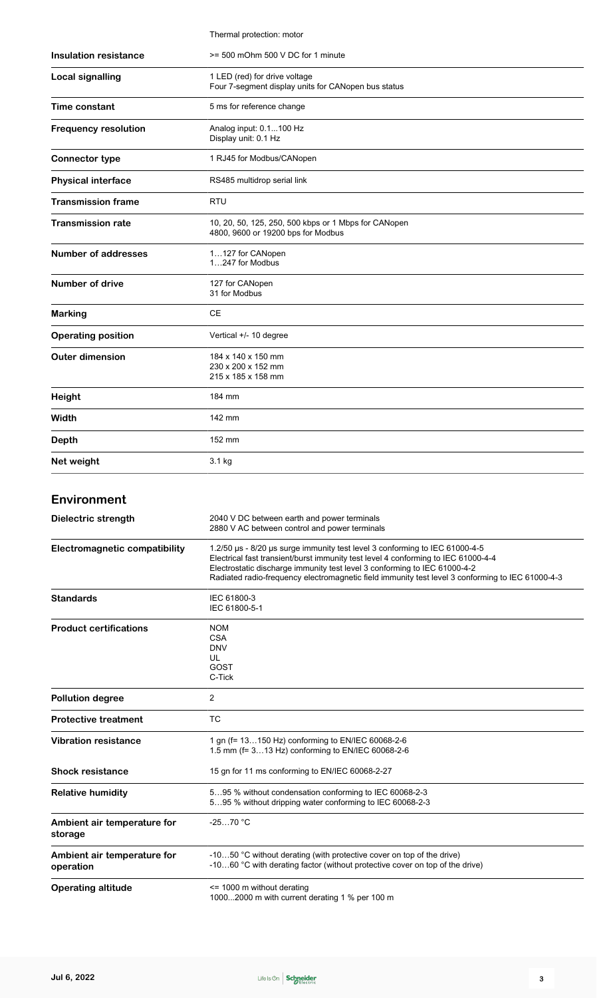|                                          | Thermal protection: motor                                                                                                                                                                                                                                                                                                                         |
|------------------------------------------|---------------------------------------------------------------------------------------------------------------------------------------------------------------------------------------------------------------------------------------------------------------------------------------------------------------------------------------------------|
| <b>Insulation resistance</b>             | >= 500 mOhm 500 V DC for 1 minute                                                                                                                                                                                                                                                                                                                 |
| <b>Local signalling</b>                  | 1 LED (red) for drive voltage<br>Four 7-segment display units for CANopen bus status                                                                                                                                                                                                                                                              |
| Time constant                            | 5 ms for reference change                                                                                                                                                                                                                                                                                                                         |
| <b>Frequency resolution</b>              | Analog input: 0.1100 Hz<br>Display unit: 0.1 Hz                                                                                                                                                                                                                                                                                                   |
| <b>Connector type</b>                    | 1 RJ45 for Modbus/CANopen                                                                                                                                                                                                                                                                                                                         |
| <b>Physical interface</b>                | RS485 multidrop serial link                                                                                                                                                                                                                                                                                                                       |
| Transmission frame                       | RTU                                                                                                                                                                                                                                                                                                                                               |
| <b>Transmission rate</b>                 | 10, 20, 50, 125, 250, 500 kbps or 1 Mbps for CANopen<br>4800, 9600 or 19200 bps for Modbus                                                                                                                                                                                                                                                        |
| <b>Number of addresses</b>               | 1127 for CANopen<br>1247 for Modbus                                                                                                                                                                                                                                                                                                               |
| <b>Number of drive</b>                   | 127 for CANopen<br>31 for Modbus                                                                                                                                                                                                                                                                                                                  |
| <b>Marking</b>                           | CЕ                                                                                                                                                                                                                                                                                                                                                |
| <b>Operating position</b>                | Vertical +/- 10 degree                                                                                                                                                                                                                                                                                                                            |
| <b>Outer dimension</b>                   | 184 x 140 x 150 mm<br>230 x 200 x 152 mm<br>215 x 185 x 158 mm                                                                                                                                                                                                                                                                                    |
| <b>Height</b>                            | 184 mm                                                                                                                                                                                                                                                                                                                                            |
| Width                                    | 142 mm                                                                                                                                                                                                                                                                                                                                            |
| <b>Depth</b>                             | 152 mm                                                                                                                                                                                                                                                                                                                                            |
| Net weight                               | 3.1 kg                                                                                                                                                                                                                                                                                                                                            |
| <b>Environment</b>                       |                                                                                                                                                                                                                                                                                                                                                   |
| Dielectric strength                      | 2040 V DC between earth and power terminals<br>2880 V AC between control and power terminals                                                                                                                                                                                                                                                      |
| <b>Electromagnetic compatibility</b>     | 1.2/50 us - 8/20 us surge immunity test level 3 conforming to IEC 61000-4-5<br>Electrical fast transient/burst immunity test level 4 conforming to IEC 61000-4-4<br>Electrostatic discharge immunity test level 3 conforming to IEC 61000-4-2<br>Radiated radio-frequency electromagnetic field immunity test level 3 conforming to IEC 61000-4-3 |
| <b>Standards</b>                         | IEC 61800-3<br>IEC 61800-5-1                                                                                                                                                                                                                                                                                                                      |
| <b>Product certifications</b>            | <b>NOM</b><br><b>CSA</b><br><b>DNV</b><br>UL<br>GOST<br>C-Tick                                                                                                                                                                                                                                                                                    |
| <b>Pollution degree</b>                  | 2                                                                                                                                                                                                                                                                                                                                                 |
| <b>Protective treatment</b>              | ТC                                                                                                                                                                                                                                                                                                                                                |
| <b>Vibration resistance</b>              | 1 gn (f= 13150 Hz) conforming to EN/IEC 60068-2-6<br>1.5 mm (f= 313 Hz) conforming to EN/IEC 60068-2-6                                                                                                                                                                                                                                            |
| <b>Shock resistance</b>                  | 15 gn for 11 ms conforming to EN/IEC 60068-2-27                                                                                                                                                                                                                                                                                                   |
| <b>Relative humidity</b>                 | 595 % without condensation conforming to IEC 60068-2-3<br>595 % without dripping water conforming to IEC 60068-2-3                                                                                                                                                                                                                                |
| Ambient air temperature for<br>storage   | $-2570 °C$                                                                                                                                                                                                                                                                                                                                        |
| Ambient air temperature for<br>operation | -1050 °C without derating (with protective cover on top of the drive)<br>-1060 °C with derating factor (without protective cover on top of the drive)                                                                                                                                                                                             |
| <b>Operating altitude</b>                | $\le$ 1000 m without derating<br>10002000 m with current derating 1 % per 100 m                                                                                                                                                                                                                                                                   |